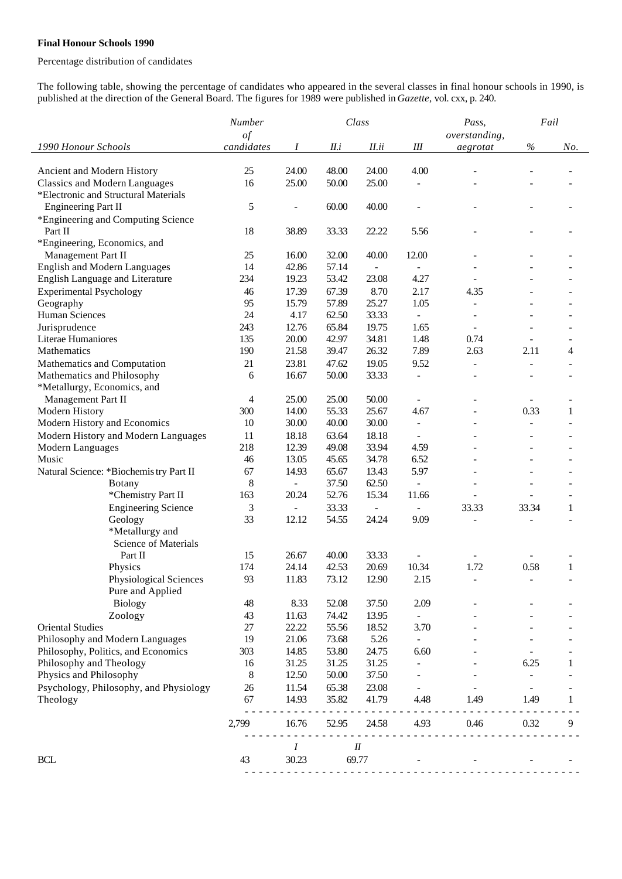## **Final Honour Schools 1990**

## Percentage distribution of candidates

The following table, showing the percentage of candidates who appeared in the several classes in final honour schools in 1990, is published at the direction of the General Board. The figures for 1989 were published in *Gazette,* vol. cxx, p. 240.

|                                         | Number         |                          | Class |        |                          | Pass,                    | Fail                     |              |
|-----------------------------------------|----------------|--------------------------|-------|--------|--------------------------|--------------------------|--------------------------|--------------|
|                                         | of             |                          |       |        |                          | overstanding,            |                          |              |
| 1990 Honour Schools                     | candidates     | I                        | II.i  | II.ii  | Ш                        | aegrotat                 | $\%$                     | No.          |
|                                         |                |                          |       |        |                          |                          |                          |              |
| Ancient and Modern History              | 25             | 24.00                    | 48.00 | 24.00  | 4.00                     |                          |                          |              |
| <b>Classics and Modern Languages</b>    | 16             | 25.00                    | 50.00 | 25.00  |                          |                          |                          |              |
| *Electronic and Structural Materials    |                |                          |       |        |                          |                          |                          |              |
| <b>Engineering Part II</b>              | 5              | $\overline{a}$           | 60.00 | 40.00  |                          |                          |                          |              |
| *Engineering and Computing Science      |                |                          |       |        |                          |                          |                          |              |
| Part II                                 | 18             | 38.89                    | 33.33 | 22.22  | 5.56                     |                          |                          |              |
| *Engineering, Economics, and            |                |                          |       |        |                          |                          |                          |              |
| Management Part II                      | 25             | 16.00                    | 32.00 | 40.00  | 12.00                    |                          |                          |              |
| <b>English and Modern Languages</b>     | 14             | 42.86                    | 57.14 |        |                          |                          |                          |              |
| English Language and Literature         | 234            | 19.23                    | 53.42 | 23.08  | 4.27                     |                          |                          |              |
| <b>Experimental Psychology</b>          | 46             | 17.39                    | 67.39 | 8.70   | 2.17                     | 4.35                     |                          |              |
| Geography                               | 95             | 15.79                    | 57.89 | 25.27  | 1.05                     | $\overline{a}$           | ÷                        |              |
| Human Sciences                          | 24             | 4.17                     | 62.50 | 33.33  |                          |                          |                          |              |
| Jurisprudence                           | 243            | 12.76                    | 65.84 | 19.75  | 1.65                     | $\overline{\phantom{a}}$ | $\overline{a}$           |              |
| Literae Humaniores                      | 135            | 20.00                    | 42.97 | 34.81  | 1.48                     | 0.74                     |                          |              |
| Mathematics                             | 190            | 21.58                    | 39.47 | 26.32  | 7.89                     | 2.63                     | 2.11                     | 4            |
| Mathematics and Computation             | 21             | 23.81                    | 47.62 | 19.05  | 9.52                     | $\blacksquare$           | ÷                        |              |
| Mathematics and Philosophy              | 6              | 16.67                    | 50.00 | 33.33  | $\blacksquare$           | L.                       | ä,                       | ٠            |
| *Metallurgy, Economics, and             |                |                          |       |        |                          |                          |                          |              |
| Management Part II                      | $\overline{4}$ | 25.00                    | 25.00 | 50.00  |                          |                          |                          |              |
| Modern History                          | 300            | 14.00                    | 55.33 | 25.67  | 4.67                     | $\overline{a}$           | 0.33                     | $\mathbf{1}$ |
| Modern History and Economics            | 10             | 30.00                    | 40.00 | 30.00  | $\overline{\phantom{a}}$ | ÷,                       | $\overline{\phantom{0}}$ |              |
| Modern History and Modern Languages     | 11             | 18.18                    | 63.64 | 18.18  | $\blacksquare$           |                          | $\overline{a}$           |              |
| Modern Languages                        | 218            | 12.39                    | 49.08 | 33.94  | 4.59                     |                          | ÷,                       |              |
| Music                                   | 46             | 13.05                    | 45.65 | 34.78  | 6.52                     |                          |                          |              |
| Natural Science: *Biochemis try Part II | 67             | 14.93                    | 65.67 | 13.43  | 5.97                     |                          |                          |              |
| <b>Botany</b>                           | 8              | $\overline{\phantom{0}}$ | 37.50 | 62.50  |                          |                          | $\overline{a}$           |              |
| *Chemistry Part II                      | 163            | 20.24                    | 52.76 | 15.34  | 11.66                    |                          |                          |              |
| <b>Engineering Science</b>              | 3              | $\overline{\phantom{a}}$ | 33.33 |        |                          | 33.33                    | 33.34                    | $\mathbf{1}$ |
| Geology                                 | 33             | 12.12                    | 54.55 | 24.24  | 9.09                     |                          |                          |              |
| *Metallurgy and                         |                |                          |       |        |                          |                          |                          |              |
| Science of Materials                    |                |                          |       |        |                          |                          |                          |              |
| Part II                                 | 15             | 26.67                    | 40.00 | 33.33  |                          |                          |                          |              |
| Physics                                 | 174            | 24.14                    | 42.53 | 20.69  | 10.34                    | 1.72                     | 0.58                     | $\mathbf{1}$ |
| Physiological Sciences                  | 93             | 11.83                    | 73.12 | 12.90  | 2.15                     |                          |                          |              |
| Pure and Applied                        |                |                          |       |        |                          |                          |                          |              |
| <b>Biology</b>                          | 48             | 8.33                     | 52.08 | 37.50  | 2.09                     |                          |                          |              |
| Zoology                                 | 43             | 11.63                    | 74.42 | 13.95  |                          |                          |                          |              |
| <b>Oriental Studies</b>                 | $27\,$         | 22.22                    | 55.56 | 18.52  | 3.70                     |                          |                          |              |
| Philosophy and Modern Languages         | 19             | 21.06                    | 73.68 | 5.26   | $\overline{\phantom{a}}$ |                          |                          |              |
| Philosophy, Politics, and Economics     | 303            | 14.85                    | 53.80 | 24.75  | 6.60                     |                          |                          |              |
| Philosophy and Theology                 | 16             | 31.25                    | 31.25 | 31.25  |                          |                          | 6.25                     | 1            |
| Physics and Philosophy                  | 8              | 12.50                    | 50.00 | 37.50  |                          |                          |                          |              |
| Psychology, Philosophy, and Physiology  | 26             | 11.54                    | 65.38 | 23.08  |                          |                          | $\blacksquare$           |              |
| Theology                                | 67             | 14.93                    | 35.82 | 41.79  | 4.48                     | 1.49                     | 1.49                     | 1            |
|                                         | 2,799          | 16.76                    | 52.95 | 24.58  | 4.93                     | 0.46                     | 0.32                     | 9            |
|                                         |                |                          |       | $I\!I$ |                          |                          |                          |              |
| <b>BCL</b>                              | 43             | Ι<br>30.23               |       | 69.77  |                          |                          |                          |              |
|                                         |                |                          |       |        |                          |                          |                          |              |